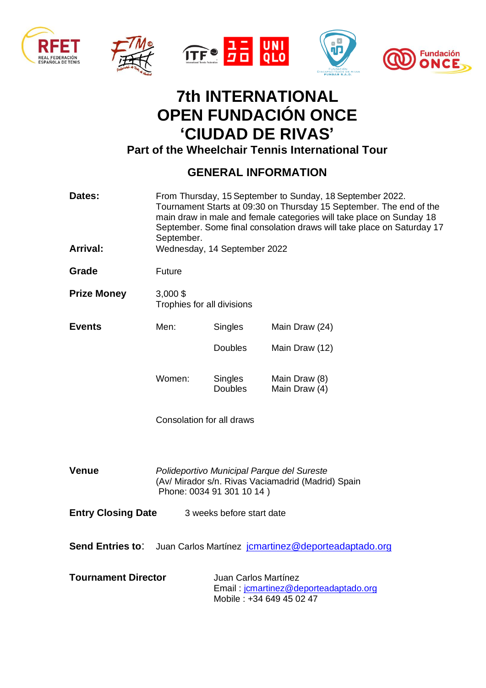









## **7th INTERNATIONAL OPEN FUNDACIÓN ONCE 'CIUDAD DE RIVAS'**

**Part of the Wheelchair Tennis International Tour** 

## **GENERAL INFORMATION**

| Dates:                                                                                                                  | From Thursday, 15 September to Sunday, 18 September 2022.<br>Tournament Starts at 09:30 on Thursday 15 September. The end of the<br>main draw in male and female categories will take place on Sunday 18<br>September. Some final consolation draws will take place on Saturday 17<br>September. |                           |                                |  |  |
|-------------------------------------------------------------------------------------------------------------------------|--------------------------------------------------------------------------------------------------------------------------------------------------------------------------------------------------------------------------------------------------------------------------------------------------|---------------------------|--------------------------------|--|--|
| Arrival:                                                                                                                | Wednesday, 14 September 2022                                                                                                                                                                                                                                                                     |                           |                                |  |  |
| Grade                                                                                                                   | <b>Future</b>                                                                                                                                                                                                                                                                                    |                           |                                |  |  |
| <b>Prize Money</b>                                                                                                      | $3,000$ \$<br>Trophies for all divisions                                                                                                                                                                                                                                                         |                           |                                |  |  |
| <b>Events</b>                                                                                                           | Men:                                                                                                                                                                                                                                                                                             | Singles                   | Main Draw (24)                 |  |  |
|                                                                                                                         |                                                                                                                                                                                                                                                                                                  | <b>Doubles</b>            | Main Draw (12)                 |  |  |
|                                                                                                                         | Women:                                                                                                                                                                                                                                                                                           | Singles<br><b>Doubles</b> | Main Draw (8)<br>Main Draw (4) |  |  |
|                                                                                                                         | Consolation for all draws                                                                                                                                                                                                                                                                        |                           |                                |  |  |
| <b>Venue</b>                                                                                                            | Polideportivo Municipal Parque del Sureste<br>(Av/ Mirador s/n. Rivas Vaciamadrid (Madrid) Spain<br>Phone: 0034 91 301 10 14)                                                                                                                                                                    |                           |                                |  |  |
| <b>Entry Closing Date</b><br>3 weeks before start date                                                                  |                                                                                                                                                                                                                                                                                                  |                           |                                |  |  |
| <b>Send Entries to:</b><br>Juan Carlos Martínez jcmartinez@deporteadaptado.org                                          |                                                                                                                                                                                                                                                                                                  |                           |                                |  |  |
| <b>Tournament Director</b><br>Juan Carlos Martínez<br>Email: jcmartinez@deporteadaptado.org<br>Mobile: +34 649 45 02 47 |                                                                                                                                                                                                                                                                                                  |                           |                                |  |  |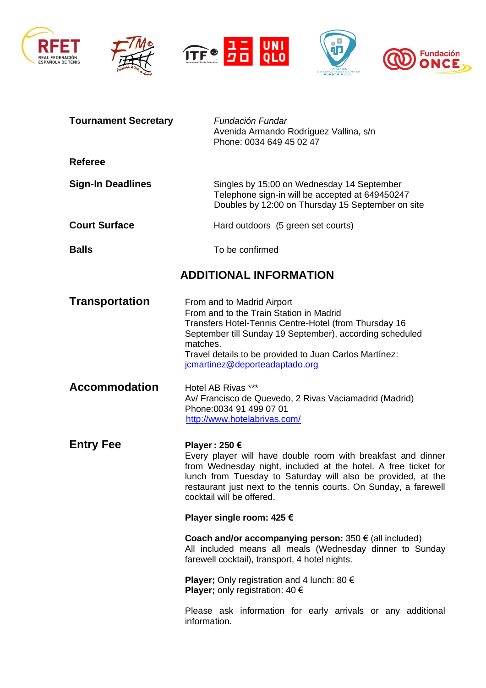







| <b>Tournament Secretary</b> | Fundación Fundar<br>Avenida Armando Rodríguez Vallina, s/n<br>Phone: 0034 649 45 02 47                                                                                                                                                                                                                           |  |  |
|-----------------------------|------------------------------------------------------------------------------------------------------------------------------------------------------------------------------------------------------------------------------------------------------------------------------------------------------------------|--|--|
| <b>Referee</b>              |                                                                                                                                                                                                                                                                                                                  |  |  |
| <b>Sign-In Deadlines</b>    | Singles by 15:00 on Wednesday 14 September<br>Telephone sign-in will be accepted at 649450247<br>Doubles by 12:00 on Thursday 15 September on site                                                                                                                                                               |  |  |
| <b>Court Surface</b>        | Hard outdoors (5 green set courts)                                                                                                                                                                                                                                                                               |  |  |
| <b>Balls</b>                | To be confirmed                                                                                                                                                                                                                                                                                                  |  |  |
|                             | <b>ADDITIONAL INFORMATION</b>                                                                                                                                                                                                                                                                                    |  |  |
| <b>Transportation</b>       | From and to Madrid Airport<br>From and to the Train Station in Madrid<br>Transfers Hotel-Tennis Centre-Hotel (from Thursday 16<br>September till Sunday 19 September), according scheduled<br>matches.<br>Travel details to be provided to Juan Carlos Martínez:<br>jcmartinez@deporteadaptado.org               |  |  |
| <b>Accommodation</b>        | Hotel AB Rivas ***<br>Av/ Francisco de Quevedo, 2 Rivas Vaciamadrid (Madrid)<br>Phone: 0034 91 499 07 01<br>http://www.hotelabrivas.com/                                                                                                                                                                         |  |  |
| <b>Entry Fee</b>            | Player: 250 €<br>Every player will have double room with breakfast and dinner<br>from Wednesday night, included at the hotel. A free ticket for<br>lunch from Tuesday to Saturday will also be provided, at the<br>restaurant just next to the tennis courts. On Sunday, a farewell<br>cocktail will be offered. |  |  |
|                             | Player single room: 425 €                                                                                                                                                                                                                                                                                        |  |  |
|                             | Coach and/or accompanying person: $350 \in (all included)$<br>All included means all meals (Wednesday dinner to Sunday<br>farewell cocktail), transport, 4 hotel nights.                                                                                                                                         |  |  |
|                             | <b>Player</b> ; Only registration and 4 lunch: 80 $\epsilon$<br><b>Player</b> ; only registration: 40 $\epsilon$                                                                                                                                                                                                 |  |  |
|                             | Please ask information for early arrivals or any additional<br>information.                                                                                                                                                                                                                                      |  |  |